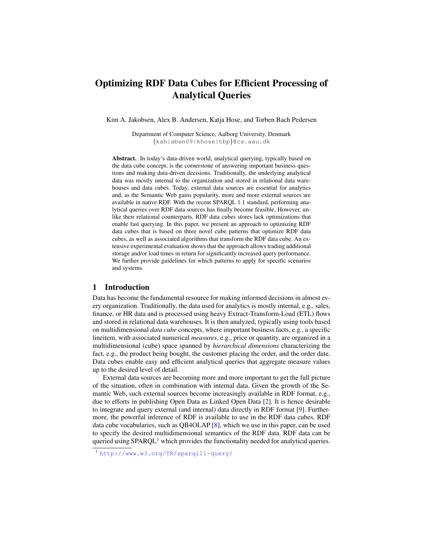# Optimizing RDF Data Cubes for Efficient Processing of Analytical Queries

Kim A. Jakobsen, Alex B. Andersen, Katja Hose, and Torben Bach Pedersen

Department of Computer Science, Aalborg University, Denmark {kah|aban09|khose|tbp}@cs.aau.dk

Abstract. In today's data-driven world, analytical querying, typically based on the data cube concept, is the cornerstone of answering important business questions and making data-driven decisions. Traditionally, the underlying analytical data was mostly internal to the organization and stored in relational data warehouses and data cubes. Today, external data sources are essential for analytics and, as the Semantic Web gains popularity, more and more external sources are available in native RDF. With the recent SPARQL 1.1 standard, performing analytical queries over RDF data sources has finally become feasible. However, unlike their relational counterparts, RDF data cubes stores lack optimizations that enable fast querying. In this paper, we present an approach to optimizing RDF data cubes that is based on three novel cube patterns that optimize RDF data cubes, as well as associated algorithms that transform the RDF data cube. An extensive experimental evaluation shows that the approach allows trading additional storage and/or load times in return for significantly increased query performance. We further provide guidelines for which patterns to apply for specific scenarios and systems.

# 1 Introduction

Data has become the fundamental resource for making informed decisions in almost every organization. Traditionally, the data used for analytics is mostly internal, e.g., sales, finance, or HR data and is processed using heavy Extract-Transform-Load (ETL) flows and stored in relational data warehouses. It is then analyzed, typically using tools based on multidimensional *data cube* concepts, where important business facts, e.g., a specific lineitem, with associated numerical *measures*, e.g., price or quantity, are organized in a multidimensional (cube) space spanned by *hierarchical dimensions* characterizing the fact, e.g., the product being bought, the customer placing the order, and the order date. Data cubes enable easy and efficient analytical queries that aggregate measure values up to the desired level of detail.

External data sources are becoming more and more important to get the full picture of the situation, often in combination with internal data. Given the growth of the Semantic Web, such external sources become increasingly available in RDF format, e.g., due to efforts in publishing Open Data as Linked Open Data [\[2\]](#page-11-0). It is hence desirable to integrate and query external (and internal) data directly in RDF format [\[9\]](#page-11-1). Furthermore, the powerful inference of RDF is available to use in the RDF data cubes. RDF data cube vocabularies, such as QB4OLAP [\[8\]](#page-11-2), which we use in this paper, can be used to specify the desired multidimensional semantics of the RDF data. RDF data can be queried using  $SPARCL<sup>1</sup>$  $SPARCL<sup>1</sup>$  $SPARCL<sup>1</sup>$  which provides the functionality needed for analytical queries.

<span id="page-0-0"></span><sup>1</sup> <http://www.w3.org/TR/sparql11-query/>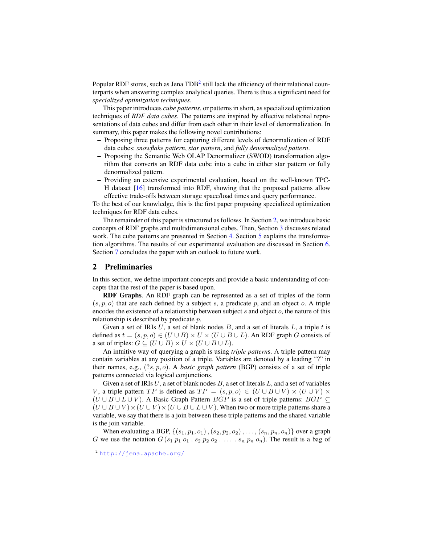Popular RDF stores, such as Jena  $TDB<sup>2</sup>$  $TDB<sup>2</sup>$  $TDB<sup>2</sup>$  still lack the efficiency of their relational counterparts when answering complex analytical queries. There is thus a significant need for *specialized optimization techniques*.

This paper introduces *cube patterns*, or patterns in short, as specialized optimization techniques of *RDF data cubes*. The patterns are inspired by effective relational representations of data cubes and differ from each other in their level of denormalization. In summary, this paper makes the following novel contributions:

- Proposing three patterns for capturing different levels of denormalization of RDF data cubes: *snowflake pattern*, *star pattern*, and *fully denormalized pattern*.
- Proposing the Semantic Web OLAP Denormalizer (SWOD) transformation algorithm that converts an RDF data cube into a cube in either star pattern or fully denormalized pattern.
- Providing an extensive experimental evaluation, based on the well-known TPC-H dataset [\[16\]](#page-11-3) transformed into RDF, showing that the proposed patterns allow effective trade-offs between storage space/load times and query performance.

To the best of our knowledge, this is the first paper proposing specialized optimization techniques for RDF data cubes.

The remainder of this paper is structured as follows. In Section [2,](#page-1-1) we introduce basic concepts of RDF graphs and multidimensional cubes. Then, Section [3](#page-2-0) discusses related work. The cube patterns are presented in Section [4.](#page-3-0) Section [5](#page-4-0) explains the transformation algorithms. The results of our experimental evaluation are discussed in Section [6.](#page-7-0) Section [7](#page-10-0) concludes the paper with an outlook to future work.

## <span id="page-1-1"></span>2 Preliminaries

In this section, we define important concepts and provide a basic understanding of concepts that the rest of the paper is based upon.

RDF Graphs. An RDF graph can be represented as a set of triples of the form  $(s, p, o)$  that are each defined by a subject *s*, a predicate *p*, and an object *o*. A triple encodes the existence of a relationship between subject *s* and object *o*, the nature of this relationship is described by predicate *p*.

Given a set of IRIs *U*, a set of blank nodes *B*, and a set of literals *L*, a triple *t* is defined as  $t = (s, p, o) \in (U \cup B) \times U \times (U \cup B \cup L)$ . An RDF graph *G* consists of a set of triples:  $G \subseteq (U \cup B) \times U \times (U \cup B \cup L)$ .

An intuitive way of querying a graph is using *triple pattern*s. A triple pattern may contain variables at any position of a triple. Variables are denoted by a leading "?" in their names, e.g., (?*s, p, o*). A *basic graph pattern* (BGP) consists of a set of triple patterns connected via logical conjunctions.

Given a set of IRIs *U*, a set of blank nodes *B*, a set of literals *L*, and a set of variables *V*, a triple pattern *TP* is defined as  $TP = (s, p, o) \in (U \cup B \cup V) \times (U \cup V) \times (V \cup V)$  $(U \cup B \cup L \cup V)$ . A Basic Graph Pattern *BGP* is a set of triple patterns: *BGP* ⊆  $(U \cup B \cup V) \times (U \cup V) \times (U \cup B \cup L \cup V)$ . When two or more triple patterns share a variable, we say that there is a join between these triple patterns and the shared variable is the join variable.

When evaluating a BGP,  $\{(s_1, p_1, o_1), (s_2, p_2, o_2), \ldots, (s_n, p_n, o_n)\}$  over a graph *G* we use the notation  $G(s_1 p_1 o_1 \cdot s_2 p_2 o_2 \cdot \ldots \cdot s_n p_n o_n)$ . The result is a bag of

<span id="page-1-0"></span><sup>2</sup> <http://jena.apache.org/>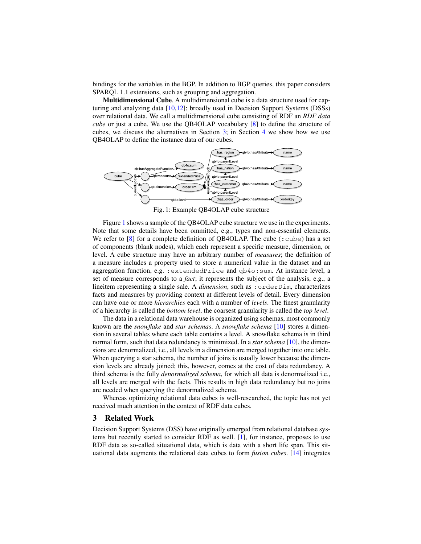bindings for the variables in the BGP. In addition to BGP queries, this paper considers SPARQL 1.1 extensions, such as grouping and aggregation.

Multidimensional Cube. A multidimensional cube is a data structure used for capturing and analyzing data [\[10](#page-11-4)[,12\]](#page-11-5); broadly used in Decision Support Systems (DSSs) over relational data. We call a multidimensional cube consisting of RDF an *RDF data cube* or just a cube. We use the QB4OLAP vocabulary [\[8\]](#page-11-2) to define the structure of cubes, we discuss the alternatives in Section [3;](#page-2-0) in Section [4](#page-3-0) we show how we use QB4OLAP to define the instance data of our cubes.

<span id="page-2-1"></span>

Fig. 1: Example QB4OLAP cube structure

Figure [1](#page-2-1) shows a sample of the QB4OLAP cube structure we use in the experiments. Note that some details have been ommitted, e.g., types and non-essential elements. We refer to  $[8]$  for a complete definition of QB4OLAP. The cube (: cube) has a set of components (blank nodes), which each represent a specific measure, dimension, or level. A cube structure may have an arbitrary number of *measures*; the definition of a measure includes a property used to store a numerical value in the dataset and an aggregation function, e.g. :extendedPrice and qb4o:sum. At instance level, a set of measure corresponds to a *fact*; it represents the subject of the analysis, e.g., a lineitem representing a single sale. A *dimension*, such as :orderDim, characterizes facts and measures by providing context at different levels of detail. Every dimension can have one or more *hierarchies* each with a number of *levels*. The finest granularity of a hierarchy is called the *bottom level*, the coarsest granularity is called the *top level*.

The data in a relational data warehouse is organized using schemas, most commonly known are the *snowflake* and *star schemas*. A *snowflake schema* [\[10\]](#page-11-4) stores a dimension in several tables where each table contains a level. A snowflake schema is in third normal form, such that data redundancy is minimized. In a *star schema* [\[10\]](#page-11-4), the dimensions are denormalized, i.e., all levels in a dimension are merged together into one table. When querying a star schema, the number of joins is usually lower because the dimension levels are already joined; this, however, comes at the cost of data redundancy. A third schema is the fully *denormalized schema*, for which all data is denormalized i.e., all levels are merged with the facts. This results in high data redundancy but no joins are needed when querying the denormalized schema.

Whereas optimizing relational data cubes is well-researched, the topic has not yet received much attention in the context of RDF data cubes.

# <span id="page-2-0"></span>3 Related Work

Decision Support Systems (DSS) have originally emerged from relational database systems but recently started to consider RDF as well. [\[1\]](#page-11-6), for instance, proposes to use RDF data as so-called situational data, which is data with a short life span. This situational data augments the relational data cubes to form *fusion cubes*. [\[14\]](#page-11-7) integrates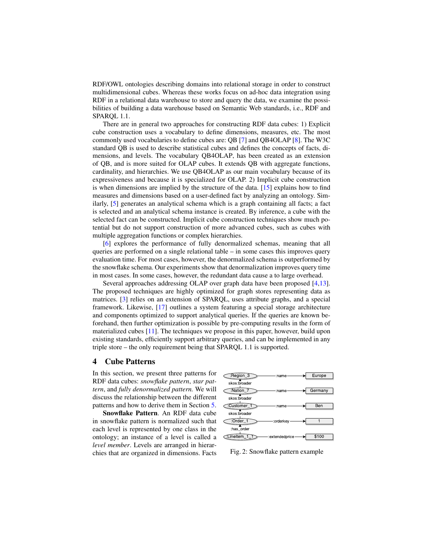RDF/OWL ontologies describing domains into relational storage in order to construct multidimensional cubes. Whereas these works focus on ad-hoc data integration using RDF in a relational data warehouse to store and query the data, we examine the possibilities of building a data warehouse based on Semantic Web standards, i.e., RDF and SPARQL 1.1.

There are in general two approaches for constructing RDF data cubes: 1) Explicit cube construction uses a vocabulary to define dimensions, measures, etc. The most commonly used vocabularies to define cubes are: QB [\[7\]](#page-11-8) and QB4OLAP [\[8\]](#page-11-2). The W3C standard QB is used to describe statistical cubes and defines the concepts of facts, dimensions, and levels. The vocabulary QB4OLAP, has been created as an extension of QB, and is more suited for OLAP cubes. It extends QB with aggregate functions, cardinality, and hierarchies. We use QB4OLAP as our main vocabulary because of its expressiveness and because it is specialized for OLAP. 2) Implicit cube construction is when dimensions are implied by the structure of the data. [\[15\]](#page-11-9) explains how to find measures and dimensions based on a user-defined fact by analyzing an ontology. Similarly, [\[5\]](#page-11-10) generates an analytical schema which is a graph containing all facts; a fact is selected and an analytical schema instance is created. By inference, a cube with the selected fact can be constructed. Implicit cube construction techniques show much potential but do not support construction of more advanced cubes, such as cubes with multiple aggregation functions or complex hierarchies.

[\[6\]](#page-11-11) explores the performance of fully denormalized schemas, meaning that all queries are performed on a single relational table – in some cases this improves query evaluation time. For most cases, however, the denormalized schema is outperformed by the snowflake schema. Our experiments show that denormalization improves query time in most cases. In some cases, however, the redundant data cause a to large overhead.

Several approaches addressing OLAP over graph data have been proposed [\[4](#page-11-12)[,13\]](#page-11-13). The proposed techniques are highly optimized for graph stores representing data as matrices. [\[3\]](#page-11-14) relies on an extension of SPARQL, uses attribute graphs, and a special framework. Likewise, [\[17\]](#page-11-15) outlines a system featuring a special storage architecture and components optimized to support analytical queries. If the queries are known beforehand, then further optimization is possible by pre-computing results in the form of materialized cubes [\[11\]](#page-11-16). The techniques we propose in this paper, however, build upon existing standards, efficiently support arbitrary queries, and can be implemented in any triple store – the only requirement being that SPARQL 1.1 is supported.

## <span id="page-3-0"></span>4 Cube Patterns

In this section, we present three patterns for RDF data cubes: *snowflake pattern*, *star pattern*, and *fully denormalized pattern.* We will discuss the relationship between the different patterns and how to derive them in Section [5.](#page-4-0)

Snowflake Pattern. An RDF data cube in snowflake pattern is normalized such that each level is represented by one class in the ontology; an instance of a level is called a *level member*. Levels are arranged in hierarchies that are organized in dimensions. Facts

<span id="page-3-1"></span>

Fig. 2: Snowflake pattern example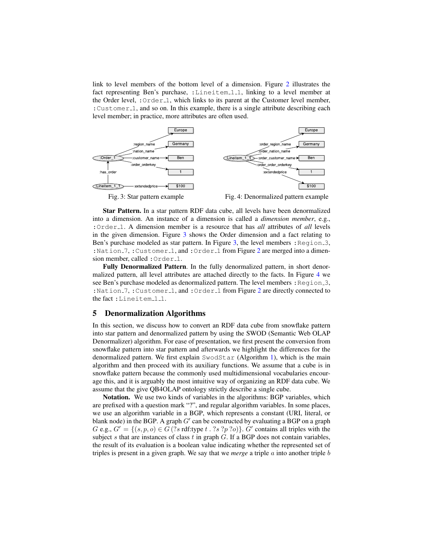link to level members of the bottom level of a dimension. Figure [2](#page-3-1) illustrates the fact representing Ben's purchase, :Lineitem 1.1, linking to a level member at the Order level, : $Order_1$ , which links to its parent at the Customer level member, :Customer 1, and so on. In this example, there is a single attribute describing each level member; in practice, more attributes are often used.

<span id="page-4-1"></span>

Star Pattern. In a star pattern RDF data cube, all levels have been denormalized into a dimension. An instance of a dimension is called a *dimension member*, e.g., :Order 1. A dimension member is a resource that has *all* attributes of *all* levels in the given dimension. Figure [3](#page-4-1) shows the Order dimension and a fact relating to Ben's purchase modeled as star pattern. In Figure [3,](#page-4-1) the level members :  $Region_3$ , : Nation  $-7$ , : Customer  $-1$ , and : Order  $-1$  from Figure [2](#page-3-1) are merged into a dimension member, called : Order<sub>-1</sub>.

Fully Denormalized Pattern. In the fully denormalized pattern, in short denormalized pattern, all level attributes are attached directly to the facts. In Figure [4](#page-4-1) we see Ben's purchase modeled as denormalized pattern. The level members :  $Region_3$ , : Nation 7, : Customer 1, and : Order 1 from Figure [2](#page-3-1) are directly connected to the fact: Lineitem<sub>-1-1</sub>.

## <span id="page-4-0"></span>5 Denormalization Algorithms

In this section, we discuss how to convert an RDF data cube from snowflake pattern into star pattern and denormalized pattern by using the SWOD (Semantic Web OLAP Denormalizer) algorithm. For ease of presentation, we first present the conversion from snowflake pattern into star pattern and afterwards we highlight the differences for the denormalized pattern. We first explain SwodStar (Algorithm [1\)](#page-5-0), which is the main algorithm and then proceed with its auxiliary functions. We assume that a cube is in snowflake pattern because the commonly used multidimensional vocabularies encourage this, and it is arguably the most intuitive way of organizing an RDF data cube. We assume that the give QB4OLAP ontology strictly describe a single cube.

Notation. We use two kinds of variables in the algorithms: BGP variables, which are prefixed with a question mark "?", and regular algorithm variables. In some places, we use an algorithm variable in a BGP, which represents a constant (URI, literal, or blank node) in the BGP. A graph  $G'$  can be constructed by evaluating a BGP on a graph  $G$  e.g.,  $G' = \{(s, p, o) \in G$  (?*s* rdf:type  $t \cdot ?s$  ?*p* ?*o*) $\}$ .  $G'$  contains all triples with the subject *s* that are instances of class *t* in graph *G*. If a BGP does not contain variables, the result of its evaluation is a boolean value indicating whether the represented set of triples is present in a given graph. We say that we *merge* a triple *a* into another triple *b*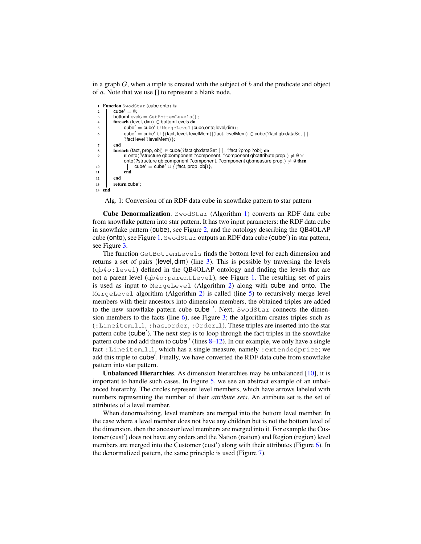in a graph *G*, when a triple is created with the subject of *b* and the predicate and object of *a*. Note that we use [] to represent a blank node.

```
1 Function SwodStar(cube,onto) is
2 \quad | \quad \text{cube}' = \emptyset;3 \mid bottomLevels = GetBottemLevels();
4 foreach (level, dim) ∈ bottomLevels do
5 cube0 = cube0 ∪ MergeLevel(cube,onto,level,dim);
6 cube^{\prime} = cube<sup>\prime</sup> = cube<sup>\prime</sup> \cup {(fact, level, levelMem)|(fact, levelMem) \in cube(?fact qb:dataSet [ ].
             ?fact level ?levelMem) };
7 end
8 foreach (fact, prop, obj) ∈ cube(?fact qb:dataSet [ ] . ?fact ?prop ?obj) do
9 if onto(?structure qb:component ?component<sup>?</sup> ?component qb:attribute prop.) ≠ Ø ∨
             onto(?structure qb:component ?component. ?component qb:measure prop.) \neq Ø then
10 | cube<sup>\prime</sup> = cube<sup>\prime</sup> ∪ {(fact, prop, obj)};
11 end
12 end
13 return cube';
14 end
```
<span id="page-5-5"></span><span id="page-5-0"></span>Alg. 1: Conversion of an RDF data cube in snowflake pattern to star pattern

Cube Denormalization. SwodStar (Algorithm [1\)](#page-5-0) converts an RDF data cube from snowflake pattern into star pattern. It has two input parameters: the RDF data cube in snowflake pattern (cube), see Figure [2,](#page-3-1) and the ontology describing the QB4OLAP cube (onto), see Figure [1.](#page-2-1) SwodStar outputs an RDF data cube (cube') in star pattern, see Figure [3.](#page-4-1)

The function GetBottemLevels finds the bottom level for each dimension and returns a set of pairs (level*,* dim) (line [3\)](#page-5-1). This is possible by traversing the levels (qb4o:level) defined in the QB4OLAP ontology and finding the levels that are not a parent level (qb4o:parentLevel), see Figure [1.](#page-2-1) The resulting set of pairs is used as input to MergeLevel (Algorithm [2\)](#page-6-0) along with cube and onto. The MergeLevel algorithm (Algorithm [2\)](#page-6-0) is called (line [5\)](#page-5-2) to recursively merge level members with their ancestors into dimension members, the obtained triples are added to the new snowflake pattern cube cube '. Next, SwodStar connects the dimension members to the facts (line  $6$ ), see Figure [3;](#page-4-1) the algorithm creates triples such as (:Lineitem 1 1, :has order, :Order 1). These triples are inserted into the star pattern cube (cube<sup>'</sup>). The next step is to loop through the fact triples in the snowflake pattern cube and add them to  $cube'$  (lines  $8-12$ ). In our example, we only have a single fact : Lineitem 11, which has a single measure, namely : extendedprice; we add this triple to cube'. Finally, we have converted the RDF data cube from snowflake pattern into star pattern.

Unbalanced Hierarchies. As dimension hierarchies may be unbalanced [\[10\]](#page-11-4), it is important to handle such cases. In Figure [5,](#page-6-1) we see an abstract example of an unbalanced hierarchy. The circles represent level members, which have arrows labeled with numbers representing the number of their *attribute sets*. An attribute set is the set of attributes of a level member.

When denormalizing, level members are merged into the bottom level member. In the case where a level member does not have any children but is not the bottom level of the dimension, then the ancestor level members are merged into it. For example the Customer (cust') does not have any orders and the Nation (nation) and Region (region) level members are merged into the Customer (cust') along with their attributes (Figure [6\)](#page-6-1). In the denormalized pattern, the same principle is used (Figure [7\)](#page-6-1).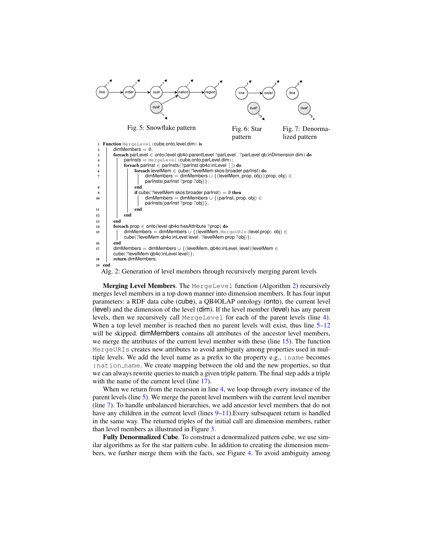<span id="page-6-1"></span>

<span id="page-6-7"></span><span id="page-6-2"></span>Fig. 5: Snowflake pattern Fig. 6: Star pattern Fig. 7: Denormalized pattern

<span id="page-6-8"></span><span id="page-6-3"></span>

<span id="page-6-9"></span><span id="page-6-6"></span><span id="page-6-5"></span><span id="page-6-4"></span><span id="page-6-0"></span>Alg. 2: Generation of level members through recursively merging parent levels

Merging Level Members. The MergeLevel function (Algorithm [2\)](#page-6-0) recursively merges level members in a top down manner into dimension members. It has four input parameters: a RDF data cube (cube), a QB4OLAP ontology (onto), the current level (level) and the dimension of the level (dim). If the level member (level) has any parent levels, then we recursively call MergeLevel for each of the parent levels (line [4\)](#page-6-2). When a top level member is reached then no parent levels will exist, thus line  $5-12$  $5-12$ will be skipped. dimMembers contains all attributes of the ancestor level members, we merge the attributes of the current level member with these (line [15\)](#page-6-5). The function MergeURIs creates new attributes to avoid ambiguity among properties used in multiple levels. We add the level name as a prefix to the property e.g., :name becomes : nation name. We create mapping between the old and the new properties, so that we can always rewrite queries to match a given triple pattern. The final step adds a triple with the name of the current level (line [17\)](#page-6-6).

When we return from the recursion in line [4,](#page-6-2) we loop through every instance of the parent levels (line [5\)](#page-6-3). We merge the parent level members with the current level member (line [7\)](#page-6-7). To handle unbalanced hierarchies, we add ancestor level members that do not have any children in the current level (lines [9](#page-6-8)[–11\)](#page-6-9). Every subsequent return is handled in the same way. The returned triples of the initial call are dimension members, rather than level members as illustrated in Figure [3.](#page-4-1)

Fully Denormalized Cube. To construct a denormalized pattern cube, we use similar algorithms as for the star pattern cube. In addition to creating the dimension members, we further merge them with the facts, see Figure [4.](#page-4-1) To avoid ambiguity among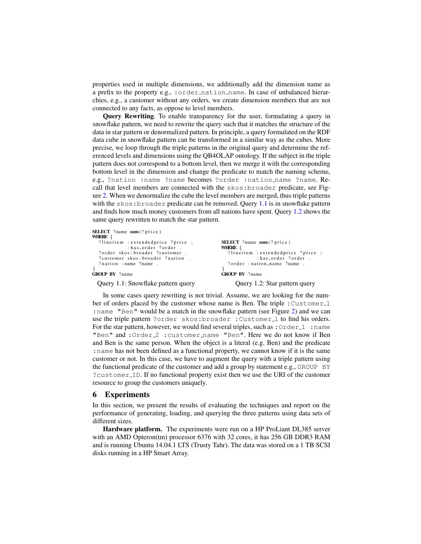properties used in multiple dimensions, we additionally add the dimension name as a prefix to the property e.g., : order\_nation\_name. In case of unbalanced hierarchies, e.g., a customer without any orders, we create dimension members that are not connected to any facts, as oppose to level members.

Query Rewriting. To enable transparency for the user, formulating a query in snowflake pattern, we need to rewrite the query such that it matches the structure of the data in star pattern or denormalized pattern. In principle, a query formulated on the RDF data cube in snowflake pattern can be transformed in a similar way as the cubes. More precise, we loop through the triple patterns in the original query and determine the referenced levels and dimensions using the QB4OLAP ontology. If the subject in the triple pattern does not correspond to a bottom level, then we merge it with the corresponding bottom level in the dimension and change the predicate to match the naming scheme, e.g., ?nation :name ?name becomes ?order :nation name ?name. Recall that level members are connected with the skos:broader predicate, see Figure [2.](#page-3-1) When we denormalize the cube the level members are merged, thus triple patterns with the skos: broader predicate can be removed. Query [1.1](#page-7-1) is in snowflake pattern and finds how much money customers from all nations have spent. Query [1.2](#page-7-2) shows the same query rewritten to match the star pattern.

```
SELECT ? name sum (? price)
WHERE {
  ? lineitem : extendedprice ? price ;
   : has_order ?order .<br>? order skos:broader ?customer?
  ? customer skos: broader ? nation.
  ? nation : name ? name
}
GROUP BY ? name
```
Query 1.1: Snowflake pattern query

```
SELECT ? name sum (? price)
WHERE {
  ? lineitem : extended price ? price ;
             : has _order ?order
  ? order : nation_name ?name .
}
GROUP BY ? name
```
#### Query 1.2: Star pattern query

In some cases query rewriting is not trivial. Assume, we are looking for the number of orders placed by the customer whose name is Ben. The triple : Customer 1 :name "Ben" would be a match in the snowflake pattern (see Figure [2\)](#page-3-1) and we can use the triple pattern ?order skos: broader : Customer 1 to find his orders. For the star pattern, however, we would find several triples, such as : $\text{Order}_1$ : name "Ben" and : Order<sub>-2</sub> : customer\_name "Ben". Here we do not know if Ben and Ben is the same person. When the object is a literal (e.g. Ben) and the predicate :name has not been defined as a functional property, we cannot know if it is the same customer or not. In this case, we have to augment the query with a triple pattern using the functional predicate of the customer and add a group by statement e.g., GROUP BY ?customer ID. If no functional property exist then we use the URI of the customer resource to group the customers uniquely.

## <span id="page-7-0"></span>6 Experiments

In this section, we present the results of evaluating the techniques and report on the performance of generating, loading, and querying the three patterns using data sets of different sizes.

Hardware platform. The experiments were run on a HP ProLiant DL385 server with an AMD Opteron(tm) processor 6376 with 32 cores, it has 256 GB DDR3 RAM and is running Ubuntu 14.04.1 LTS (Trusty Tahr). The data was stored on a 1 TB SCSI disks running in a HP Smart Array.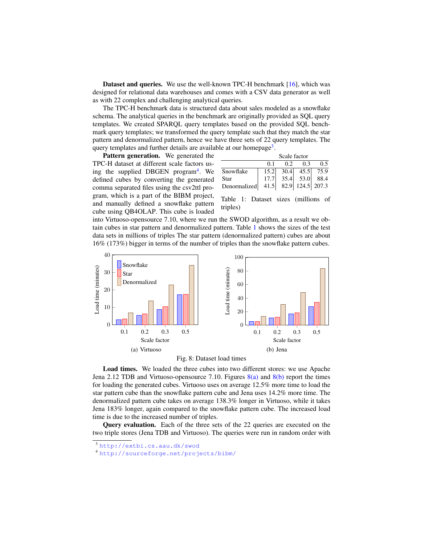Dataset and queries. We use the well-known TPC-H benchmark [\[16\]](#page-11-3), which was designed for relational data warehouses and comes with a CSV data generator as well as with 22 complex and challenging analytical queries.

The TPC-H benchmark data is structured data about sales modeled as a snowflake schema. The analytical queries in the benchmark are originally provided as SQL query templates. We created SPARQL query templates based on the provided SQL benchmark query templates; we transformed the query template such that they match the star pattern and denormalized pattern, hence we have three sets of 22 query templates. The query templates and further details are available at our homepage<sup>[3](#page-8-0)</sup>.

Pattern generation. We generated the TPC-H dataset at different scale factors us-ing the supplied DBGEN program<sup>[4](#page-8-1)</sup>. We defined cubes by converting the generated comma separated files using the csv2ttl program, which is a part of the BIBM project, and manually defined a snowflake pattern cube using QB4OLAP. This cube is loaded

<span id="page-8-2"></span>

|              | Scale factor |      |                  |           |  |  |  |  |
|--------------|--------------|------|------------------|-----------|--|--|--|--|
|              | 01           | 0.2  | 0.3              | 0.5       |  |  |  |  |
| Snowflake    | 15.2         | 30.4 |                  | 45.5 75.9 |  |  |  |  |
| Star         | 17.7         |      | $35.4$ 53.0      | 88.4      |  |  |  |  |
| Denormalized | 41.5         |      | 82.9 124.5 207.3 |           |  |  |  |  |

Table 1: Dataset sizes (millions of triples)

into Virtuoso-opensource 7.10, where we run the SWOD algorithm, as a result we obtain cubes in star pattern and denormalized pattern. Table [1](#page-8-2) shows the sizes of the test data sets in millions of triples The star pattern (denormalized pattern) cubes are about 16% (173%) bigger in terms of the number of triples than the snowflake pattern cubes.

<span id="page-8-3"></span>

<span id="page-8-4"></span>

Load times. We loaded the three cubes into two different stores: we use Apache Jena 2.12 TDB and Virtuoso-opensource 7.10. Figures  $8(a)$  and  $8(b)$  report the times for loading the generated cubes. Virtuoso uses on average 12.5% more time to load the star pattern cube than the snowflake pattern cube and Jena uses 14.2% more time. The denormalized pattern cube takes on average 138.3% longer in Virtuoso, while it takes Jena 183% longer, again compared to the snowflake pattern cube. The increased load time is due to the increased number of triples.

Query evaluation. Each of the three sets of the 22 queries are executed on the two triple stores (Jena TDB and Virtuoso). The queries were run in random order with

<span id="page-8-0"></span><sup>3</sup> <http://extbi.cs.aau.dk/swod>

<span id="page-8-1"></span><sup>4</sup> [http://sourceforge.net/projects/bibm/](http://sourceforge. net/projects/bibm/)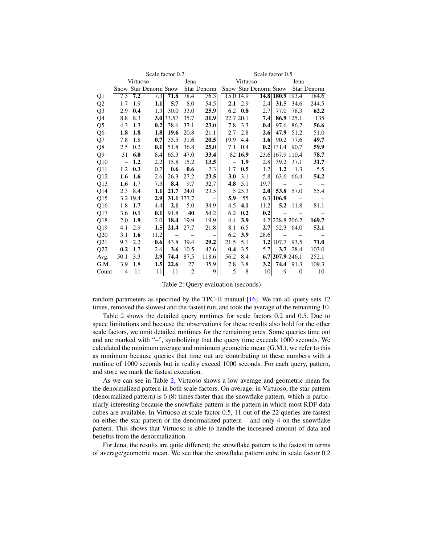<span id="page-9-0"></span>

|              | Scale factor 0.2 |                  |                       |                   |                          | Scale factor 0.5         |                          |           |                       |                          |                          |                    |
|--------------|------------------|------------------|-----------------------|-------------------|--------------------------|--------------------------|--------------------------|-----------|-----------------------|--------------------------|--------------------------|--------------------|
|              | Virtuoso         |                  | Jena                  |                   | Virtuoso                 |                          | Jena                     |           |                       |                          |                          |                    |
|              |                  |                  | Snow Star Denorm Snow |                   |                          | Star Denorm              |                          |           | Snow Star Denorm Snow |                          |                          | <b>Star Denorm</b> |
| Q1           | 7.3              | 7.2              | 7.3                   | 71.8              | 78.4                     | 76.3                     | 15.0 14.9                |           |                       |                          | 14.8 180.9 193.4         | 184.6              |
| Q2           | 1.7              | 1.9              | 1.1                   | 5.7               | 8.0                      | 54.5                     | 2.1                      | 2.9       | 2.4                   | 31.5                     | 34.6                     | 244.5              |
| Q3           | 2.9              | 0.4              | 1.3                   | 30.0              | 33.0                     | 25.9                     | 6.2                      | $\bf0.8$  | 2.7                   | 77.0                     | 78.3                     | 62.2               |
| Q4           | 8.8              | 8.3              |                       | 3.0 33.57         | 35.7                     | 31.9                     | 22.7 20.1                |           | 7.4                   |                          | 86.9 125.1               | 135                |
| Q5           | 4.3              | 1.3              | 0.2                   | 38.6              | 37.1                     | 23.0                     | 7.8                      | 3.3       | 0.4                   | 97.6                     | 86.2                     | 56.6               |
| Q6           | 1.8              | 1.8              | 1.8                   | 19.6              | 20.8                     | 21.1                     | 2.7                      | 2.8       | 2.6                   | 47.9                     | 51.2                     | 51.0               |
| Q7           | 7.8              | 1.8              | 0.7                   | 35.5              | 31.6                     | 20.5                     | 19.9                     | 4.4       | $1.6\phantom{0}$      | 90.2                     | 77.6                     | 49.7               |
| Q8           | 2.5              | 0.2              | 0.1                   | 51.8              | 36.8                     | 25.0                     | 7.1                      | 0.4       |                       | $0.2$  131.4             | 90.7                     | 59.9               |
| Q9           | 31               | 6.0              | 8.4                   | 65.3              | 47.0                     | 33.4                     |                          | 82 16.9   |                       | 23.6 167.9 110.4         |                          | 78.7               |
| Q10          | $\sim$ $-$       | 1,2              | 2.2                   | 15.8              | 15.2                     | 13.5                     | $\overline{\phantom{m}}$ | 1.9       | 2.8                   | 39.2                     | 37.1                     | 31.7               |
| Q11          | 1.2              | 0.3              | 0.7                   | 0.6               | 0.6                      | 2.3                      | 1.7                      | 0.5       | 1.2                   | $1.2\phantom{0}$         | 1.3                      | 5.5                |
| Q12          | 1.6              | 1.6              | 2.6                   | 26.3              | 27.2                     | 23.5                     | 3.0                      | 3.1       | 5.8                   |                          | 63.6 66.4                | 54.2               |
| Q13          | 1.6              | 1.7              | 7.3                   | 8.4               | 9.7                      | 32.7                     |                          | 4.8 $5.1$ | 19.7                  | $\overline{\phantom{m}}$ |                          |                    |
| Q14          | 2.3              | 8.4              | 1.1                   | 21.7              | 24.0                     | 23.5                     |                          | 5 25.3    | 2.0                   | 53.8                     | 57.0                     | 55.4               |
| Q15          |                  | 3.2 19.4         | 2.9                   |                   | 31.1 377.7               | $\overline{\phantom{0}}$ | 5.9                      | 55        |                       | 6.3 106.9                |                          |                    |
| Q16          | 1.8              | 1.7              | 4.4                   | 2.1               | 5.0                      | 34.9                     | 4.5                      | 4.1       | 11.2                  | 5.2                      | 11.8                     | 81.1               |
| Q17          | 3.6              | 0.1              | 0.1                   | 91.8              | 40                       | 54.2                     | 6.2                      | 0.2       | 0.2                   |                          | $\overline{\phantom{m}}$ |                    |
| Q18          | 2.0              | 1.9              | 2.0                   | 18.4              | 19.9                     | 19.9                     | 4.4                      | 3.9       |                       |                          | 4.2 228.8 206.2          | 169.7              |
| Q19          | 4.1              | 2.9              | 1.5                   | 21.4              | 27.7                     | 21.8                     | 8.1                      | 6.5       | 2.7                   |                          | 52.3 64.0                | 52.1               |
| $_{\rm Q20}$ | 3.1              | 1.6              | 11.2                  | $\qquad \qquad -$ | $\overline{\phantom{m}}$ | $\qquad \qquad -$        | 6.2                      | 3.9       | 28.6                  |                          | $\overline{\phantom{m}}$ |                    |
| Q21          | 9.3              | 2.2              | 0.6                   | 43.8              | 39.4                     | 29.2                     | 21.5                     | 5.1       |                       | $1.2$  107.7             | 93.5                     | 71.0               |
| Q22          | 0.2              | 1.7              | 2.6                   | 3.6               | 10.5                     | 42.6                     | 0.4                      | 3.5       | 5.7                   | 3.7                      | 28.4                     | 103.0              |
| Avg.         | 50.1             | $\overline{3.3}$ | 2.9                   | 74.4              | 87.5                     | 118.6                    | 56.2                     | 8.4       |                       | 6.7 207.9 246.1          |                          | 252.1              |
| G.M.         | 3.9              | 1.8              | 1.5                   | 22.6              | 27                       | 35.9                     | 7.8                      | 3.8       | 3.2                   | 74.4                     | 91.3                     | 109.3              |
| Count        | $\overline{4}$   | 11               | 11                    | 11                | 2                        | 9                        | 5                        | 8         | 10                    | 9                        | $\boldsymbol{0}$         | 10                 |

Table 2: Query evaluation (seconds)

random parameters as specified by the TPC-H manual [\[16\]](#page-11-3). We ran all query sets 12 times, removed the slowest and the fastest run, and took the average of the remaining 10.

Table [2](#page-9-0) shows the detailed query runtimes for scale factors 0.2 and 0.5. Due to space limitations and because the observations for these results also hold for the other scale factors, we omit detailed runtimes for the remaining ones. Some queries time out and are marked with "–", symbolizing that the query time exceeds 1000 seconds. We calculated the minimum average and minimum geometric mean (G.M.), we refer to this as minimum because queries that time out are contributing to these numbers with a runtime of 1000 seconds but in reality exceed 1000 seconds. For each query, pattern, and store we mark the fastest execution.

As we can see in Table [2,](#page-9-0) Virtuoso shows a low average and geometric mean for the denormalized pattern in both scale factors. On average, in Virtuoso, the star pattern (denormalized pattern) is 6 (8) times faster than the snowflake pattern, which is particularly interesting because the snowflake pattern is the pattern in which most RDF data cubes are available. In Virtuoso at scale factor 0.5, 11 out of the 22 queries are fastest on either the star pattern or the denormalized pattern – and only 4 on the snowflake pattern. This shows that Virtuoso is able to handle the increased amount of data and benefits from the denormalization.

For Jena, the results are quite different; the snowflake pattern is the fastest in terms of average/geometric mean. We see that the snowflake pattern cube in scale factor 0.2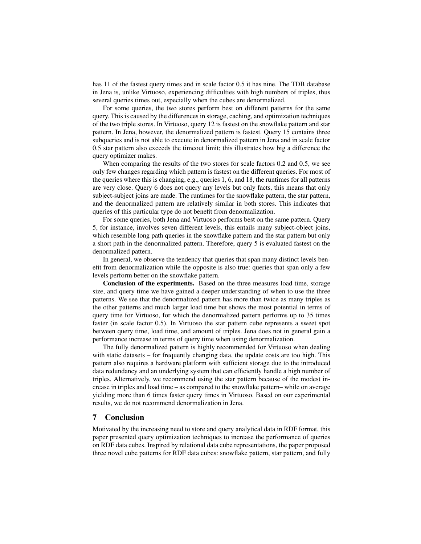has 11 of the fastest query times and in scale factor 0.5 it has nine. The TDB database in Jena is, unlike Virtuoso, experiencing difficulties with high numbers of triples, thus several queries times out, especially when the cubes are denormalized.

For some queries, the two stores perform best on different patterns for the same query. This is caused by the differences in storage, caching, and optimization techniques of the two triple stores. In Virtuoso, query 12 is fastest on the snowflake pattern and star pattern. In Jena, however, the denormalized pattern is fastest. Query 15 contains three subqueries and is not able to execute in denormalized pattern in Jena and in scale factor 0.5 star pattern also exceeds the timeout limit; this illustrates how big a difference the query optimizer makes.

When comparing the results of the two stores for scale factors 0.2 and 0.5, we see only few changes regarding which pattern is fastest on the different queries. For most of the queries where this is changing, e.g., queries 1, 6, and 18, the runtimes for all patterns are very close. Query 6 does not query any levels but only facts, this means that only subject-subject joins are made. The runtimes for the snowflake pattern, the star pattern, and the denormalized pattern are relatively similar in both stores. This indicates that queries of this particular type do not benefit from denormalization.

For some queries, both Jena and Virtuoso performs best on the same pattern. Query 5, for instance, involves seven different levels, this entails many subject-object joins, which resemble long path queries in the snowflake pattern and the star pattern but only a short path in the denormalized pattern. Therefore, query 5 is evaluated fastest on the denormalized pattern.

In general, we observe the tendency that queries that span many distinct levels benefit from denormalization while the opposite is also true: queries that span only a few levels perform better on the snowflake pattern.

Conclusion of the experiments. Based on the three measures load time, storage size, and query time we have gained a deeper understanding of when to use the three patterns. We see that the denormalized pattern has more than twice as many triples as the other patterns and much larger load time but shows the most potential in terms of query time for Virtuoso, for which the denormalized pattern performs up to 35 times faster (in scale factor 0.5). In Virtuoso the star pattern cube represents a sweet spot between query time, load time, and amount of triples. Jena does not in general gain a performance increase in terms of query time when using denormalization.

The fully denormalized pattern is highly recommended for Virtuoso when dealing with static datasets – for frequently changing data, the update costs are too high. This pattern also requires a hardware platform with sufficient storage due to the introduced data redundancy and an underlying system that can efficiently handle a high number of triples. Alternatively, we recommend using the star pattern because of the modest increase in triples and load time – as compared to the snowflake pattern– while on average yielding more than 6 times faster query times in Virtuoso. Based on our experimental results, we do not recommend denormalization in Jena.

# <span id="page-10-0"></span>7 Conclusion

Motivated by the increasing need to store and query analytical data in RDF format, this paper presented query optimization techniques to increase the performance of queries on RDF data cubes. Inspired by relational data cube representations, the paper proposed three novel cube patterns for RDF data cubes: snowflake pattern, star pattern, and fully